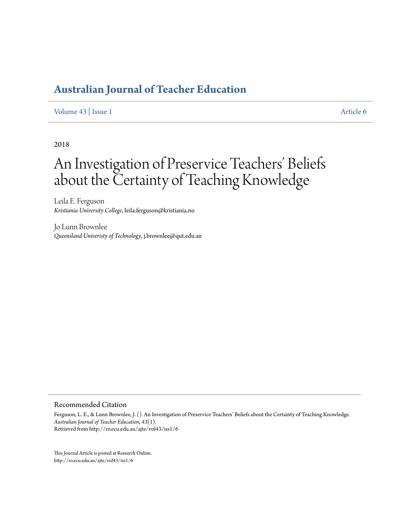## **[Australian Journal of Teacher Education](http://ro.ecu.edu.au/ajte)**

[Volume 43](http://ro.ecu.edu.au/ajte/vol43) | [Issue 1](http://ro.ecu.edu.au/ajte/vol43/iss1) [Article 6](http://ro.ecu.edu.au/ajte/vol43/iss1/6)

2018

# An Investigation of Preservice Teachers' Beliefs about the Certainty of Teaching Knowledge

Leila E. Ferguson *Kristiania University College*, leila.ferguson@kristiania.no

Jo Lunn Brownlee *Queensland Univeristy of Technology*, j.brownlee@qut.edu.au

#### Recommended Citation

Ferguson, L. E., & Lunn Brownlee, J. (). An Investigation of Preservice Teachers' Beliefs about the Certainty of Teaching Knowledge. *Australian Journal of Teacher Education, 43*(1). Retrieved from http://ro.ecu.edu.au/ajte/vol43/iss1/6

This Journal Article is posted at Research Online. http://ro.ecu.edu.au/ajte/vol43/iss1/6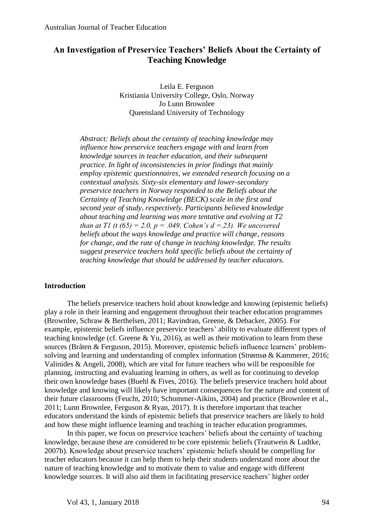## **An Investigation of Preservice Teachers' Beliefs About the Certainty of Teaching Knowledge**

Leila E. Ferguson Kristiania University College, Oslo, Norway Jo Lunn Brownlee Queensland University of Technology

*Abstract: Beliefs about the certainty of teaching knowledge may influence how preservice teachers engage with and learn from knowledge sources in teacher education, and their subsequent practice. In light of inconsistencies in prior findings that mainly employ epistemic questionnaires, we extended research focusing on a contextual analysis. Sixty-six elementary and lower-secondary preservice teachers in Norway responded to the Beliefs about the Certainty of Teaching Knowledge (BECK) scale in the first and second year of study, respectively. Participants believed knowledge about teaching and learning was more tentative and evolving at T2 than at T1 (t (65) = 2.0, p = .049, Cohen's d = .23). We uncovered beliefs about the ways knowledge and practice will change, reasons for change, and the rate of change in teaching knowledge. The results suggest preservice teachers hold specific beliefs about the certainty of teaching knowledge that should be addressed by teacher educators.*

## **Introduction**

The beliefs preservice teachers hold about knowledge and knowing (epistemic beliefs) play a role in their learning and engagement throughout their teacher education programmes (Brownlee, Schraw & Berthelsen, 2011; Ravindran, Greene, & Debacker, 2005). For example, epistemic beliefs influence preservice teachers' ability to evaluate different types of teaching knowledge (cf. Greene & Yu, 2016), as well as their motivation to learn from these sources (Bråten & Ferguson, 2015). Moreover, epistemic beliefs influence learners' problemsolving and learning and understanding of complex information (Strømsø & Kammerer, 2016; Valinides & Angeli, 2008), which are vital for future teachers who will be responsible for planning, instructing and evaluating learning in others, as well as for continuing to develop their own knowledge bases (Buehl & Fives, 2016). The beliefs preservice teachers hold about knowledge and knowing will likely have important consequences for the nature and content of their future classrooms (Feucht, 2010; Schommer-Aikins, 2004) and practice (Brownlee et al., 2011; Lunn Brownlee, Ferguson & Ryan, 2017). It is therefore important that teacher educators understand the kinds of epistemic beliefs that preservice teachers are likely to hold and how these might influence learning and teaching in teacher education programmes.

In this paper, we focus on preservice teachers' beliefs about the certainty of teaching knowledge, because these are considered to be core epistemic beliefs (Trautwein & Ludtke, 2007b). Knowledge about preservice teachers' epistemic beliefs should be compelling for teacher educators because it can help them to help their students understand more about the nature of teaching knowledge and to motivate them to value and engage with different knowledge sources. It will also aid them in facilitating preservice teachers' higher order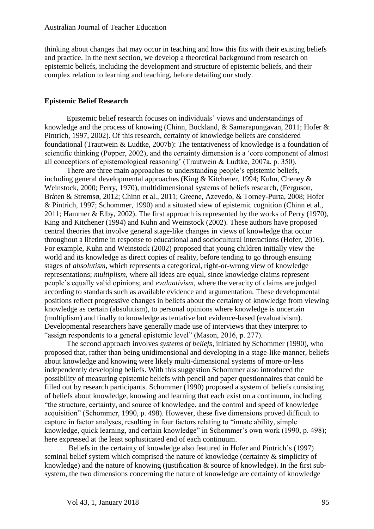thinking about changes that may occur in teaching and how this fits with their existing beliefs and practice. In the next section, we develop a theoretical background from research on epistemic beliefs, including the development and structure of epistemic beliefs, and their complex relation to learning and teaching, before detailing our study.

#### **Epistemic Belief Research**

Epistemic belief research focuses on individuals' views and understandings of knowledge and the process of knowing (Chinn, Buckland, & Samarapungavan, 2011; Hofer & Pintrich, 1997, 2002). Of this research, certainty of knowledge beliefs are considered foundational (Trautwein & Ludtke, 2007b): The tentativeness of knowledge is a foundation of scientific thinking (Popper, 2002), and the certainty dimension is a 'core component of almost all conceptions of epistemological reasoning' (Trautwein & Ludtke, 2007a, p. 350).

There are three main approaches to understanding people's epistemic beliefs, including general developmental approaches (King & Kitchener, 1994; Kuhn, Cheney & Weinstock, 2000; Perry, 1970), multidimensional systems of beliefs research, (Ferguson, Bråten & Strømsø, 2012; Chinn et al., 2011; Greene, Azevedo, & Torney-Purta, 2008; Hofer & Pintrich, 1997; Schommer, 1990) and a situated view of epistemic cognition (Chinn et al., 2011; Hammer & Elby, 2002). The first approach is represented by the works of Perry (1970), King and Kitchener (1994) and Kuhn and Weinstock (2002). These authors have proposed central theories that involve general stage-like changes in views of knowledge that occur throughout a lifetime in response to educational and sociocultural interactions (Hofer, 2016). For example, Kuhn and Weinstock (2002) proposed that young children initially view the world and its knowledge as direct copies of reality, before tending to go through ensuing stages of *absolutism*, which represents a categorical, right-or-wrong view of knowledge representations; *multiplism*, where all ideas are equal, since knowledge claims represent people's equally valid opinions; and *evaluativism,* where the veracity of claims are judged according to standards such as available evidence and argumentation. These developmental positions reflect progressive changes in beliefs about the certainty of knowledge from viewing knowledge as certain (absolutism), to personal opinions where knowledge is uncertain (multiplism) and finally to knowledge as tentative but evidence-based (evaluativism). Developmental researchers have generally made use of interviews that they interpret to "assign respondents to a general epistemic level" (Mason, 2016, p. 277).

The second approach involves *systems of beliefs,* initiated by Schommer (1990), who proposed that, rather than being unidimensional and developing in a stage-like manner, beliefs about knowledge and knowing were likely multi-dimensional systems of more-or-less independently developing beliefs. With this suggestion Schommer also introduced the possibility of measuring epistemic beliefs with pencil and paper questionnaires that could be filled out by research participants. Schommer (1990) proposed a system of beliefs consisting of beliefs about knowledge, knowing and learning that each exist on a continuum, including "the structure, certainty, and source of knowledge, and the control and speed of knowledge acquisition" (Schommer, 1990, p. 498). However, these five dimensions proved difficult to capture in factor analyses, resulting in four factors relating to "innate ability, simple knowledge, quick learning, and certain knowledge" in Schommer's own work (1990, p. 498); here expressed at the least sophisticated end of each continuum.

Beliefs in the certainty of knowledge also featured in Hofer and Pintrich's (1997) seminal belief system which comprised the nature of knowledge (certainty & simplicity of knowledge) and the nature of knowing (justification & source of knowledge). In the first subsystem, the two dimensions concerning the nature of knowledge are certainty of knowledge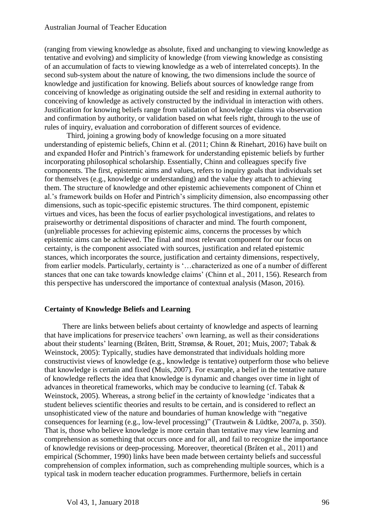(ranging from viewing knowledge as absolute, fixed and unchanging to viewing knowledge as tentative and evolving) and simplicity of knowledge (from viewing knowledge as consisting of an accumulation of facts to viewing knowledge as a web of interrelated concepts). In the second sub-system about the nature of knowing, the two dimensions include the source of knowledge and justification for knowing. Beliefs about sources of knowledge range from conceiving of knowledge as originating outside the self and residing in external authority to conceiving of knowledge as actively constructed by the individual in interaction with others. Justification for knowing beliefs range from validation of knowledge claims via observation and confirmation by authority, or validation based on what feels right, through to the use of rules of inquiry, evaluation and corroboration of different sources of evidence.

Third, joining a growing body of knowledge focusing on a more situated understanding of epistemic beliefs, Chinn et al. (2011; Chinn & Rinehart, 2016) have built on and expanded Hofer and Pintrich's framework for understanding epistemic beliefs by further incorporating philosophical scholarship. Essentially, Chinn and colleagues specify five components. The first, epistemic aims and values, refers to inquiry goals that individuals set for themselves (e.g., knowledge or understanding) and the value they attach to achieving them. The structure of knowledge and other epistemic achievements component of Chinn et al.'s framework builds on Hofer and Pintrich's simplicity dimension, also encompassing other dimensions, such as topic-specific epistemic structures. The third component, epistemic virtues and vices, has been the focus of earlier psychological investigations, and relates to praiseworthy or detrimental dispositions of character and mind. The fourth component, (un)reliable processes for achieving epistemic aims, concerns the processes by which epistemic aims can be achieved. The final and most relevant component for our focus on certainty, is the component associated with sources, justification and related epistemic stances, which incorporates the source, justification and certainty dimensions, respectively, from earlier models. Particularly, certainty is '…characterized as one of a number of different stances that one can take towards knowledge claims' (Chinn et al., 2011, 156). Research from this perspective has underscored the importance of contextual analysis (Mason, 2016).

## **Certainty of Knowledge Beliefs and Learning**

There are links between beliefs about certainty of knowledge and aspects of learning that have implications for preservice teachers' own learning, as well as their considerations about their students' learning (Bråten, Britt, Strømsø, & Rouet, 201; Muis, 2007; Tabak & Weinstock, 2005): Typically, studies have demonstrated that individuals holding more constructivist views of knowledge (e.g., knowledge is tentative) outperform those who believe that knowledge is certain and fixed (Muis, 2007). For example, a belief in the tentative nature of knowledge reflects the idea that knowledge is dynamic and changes over time in light of advances in theoretical frameworks, which may be conducive to learning (cf. Tabak & Weinstock, 2005). Whereas, a strong belief in the certainty of knowledge 'indicates that a student believes scientific theories and results to be certain, and is considered to reflect an unsophisticated view of the nature and boundaries of human knowledge with "negative consequences for learning (e.g., low-level processing)" (Trautwein & Lüdtke, 2007a, p. 350). That is, those who believe knowledge is more certain than tentative may view learning and comprehension as something that occurs once and for all, and fail to recognize the importance of knowledge revisions or deep-processing. Moreover, theoretical (Bråten et al., 2011) and empirical (Schommer, 1990) links have been made between certainty beliefs and successful comprehension of complex information, such as comprehending multiple sources, which is a typical task in modern teacher education programmes. Furthermore, beliefs in certain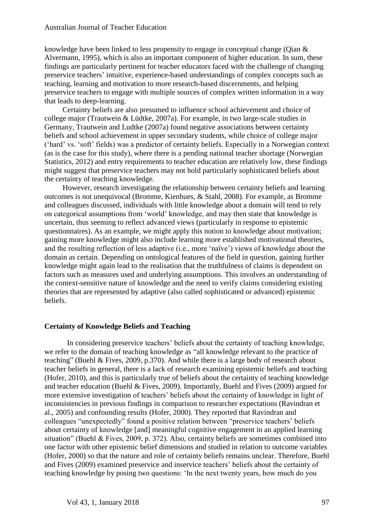#### Australian Journal of Teacher Education

knowledge have been linked to less propensity to engage in conceptual change (Qian & Alvermann, 1995), which is also an important component of higher education. In sum, these findings are particularly pertinent for teacher educators faced with the challenge of changing preservice teachers' intuitive, experience-based understandings of complex concepts such as teaching, learning and motivation to more research-based discernments, and helping preservice teachers to engage with multiple sources of complex written information in a way that leads to deep-learning.

Certainty beliefs are also presumed to influence school achievement and choice of college major (Trautwein & Lüdtke, 2007a). For example, in two large-scale studies in Germany, Trautwein and Ludtke (2007a) found negative associations between certainty beliefs and school achievement in upper secondary students, while choice of college major ('hard' vs. 'soft' fields) was a predictor of certainty beliefs. Especially in a Norwegian context (as is the case for this study), where there is a pending national teacher shortage (Norwegian Statistics, 2012) and entry requirements to teacher education are relatively low, these findings might suggest that preservice teachers may not hold particularly sophisticated beliefs about the certainty of teaching knowledge.

However, research investigating the relationship between certainty beliefs and learning outcomes is not unequivocal (Bromme, Kienhues, & Stahl, 2008). For example, as Bromme and colleagues discussed, individuals with little knowledge about a domain will tend to rely on categorical assumptions from 'world' knowledge, and may then state that knowledge is uncertain, thus seeming to reflect advanced views (particularly in response to epistemic questionnaires). As an example, we might apply this notion to knowledge about motivation; gaining more knowledge might also include learning more established motivational theories, and the resulting reflection of less adaptive (i.e., more 'naïve') views of knowledge about the domain as certain. Depending on ontological features of the field in question, gaining further knowledge might again lead to the realisation that the truthfulness of claims is dependent on factors such as measures used and underlying assumptions. This involves an understanding of the context-sensitive nature of knowledge and the need to verify claims considering existing theories that are represented by adaptive (also called sophisticated or advanced) epistemic beliefs.

#### **Certainty of Knowledge Beliefs and Teaching**

In considering preservice teachers' beliefs about the certainty of teaching knowledge, we refer to the domain of teaching knowledge as "all knowledge relevant to the practice of teaching" (Buehl & Fives, 2009, p.370). And while there is a large body of research about teacher beliefs in general, there is a lack of research examining epistemic beliefs and teaching (Hofer, 2010), and this is particularly true of beliefs about the certainty of teaching knowledge and teacher education (Buehl & Fives, 2009). Importantly, Buehl and Fives (2009) argued for more extensive investigation of teachers' beliefs about the certainty of knowledge in light of inconsistencies in previous findings in comparison to researcher expectations (Ravindran et al., 2005) and confounding results (Hofer, 2000). They reported that Ravindran and colleagues "unexpectedly" found a positive relation between "preservice teachers' beliefs about certainty of knowledge [and] meaningful cognitive engagement in an applied learning situation" (Buehl & Fives, 2009, p. 372). Also, certainty beliefs are sometimes combined into one factor with other epistemic belief dimensions and studied in relation to outcome variables (Hofer, 2000) so that the nature and role of certainty beliefs remains unclear. Therefore, Buehl and Fives (2009) examined preservice and inservice teachers' beliefs about the certainty of teaching knowledge by posing two questions: 'In the next twenty years, how much do you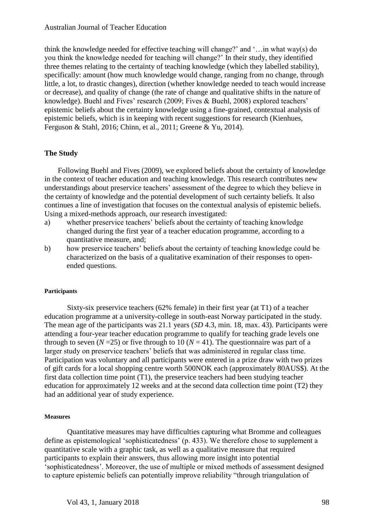think the knowledge needed for effective teaching will change?' and '…in what way(s) do you think the knowledge needed for teaching will change?' In their study, they identified three themes relating to the certainty of teaching knowledge (which they labelled stability), specifically: amount (how much knowledge would change, ranging from no change, through little, a lot, to drastic changes), direction (whether knowledge needed to teach would increase or decrease), and quality of change (the rate of change and qualitative shifts in the nature of knowledge). Buehl and Fives' research (2009; Fives & Buehl, 2008) explored teachers' epistemic beliefs about the certainty knowledge using a fine-grained, contextual analysis of epistemic beliefs, which is in keeping with recent suggestions for research (Kienhues, Ferguson & Stahl, 2016; Chinn, et al., 2011; Greene & Yu, 2014).

## **The Study**

Following Buehl and Fives (2009), we explored beliefs about the certainty of knowledge in the context of teacher education and teaching knowledge. This research contributes new understandings about preservice teachers' assessment of the degree to which they believe in the certainty of knowledge and the potential development of such certainty beliefs. It also continues a line of investigation that focuses on the contextual analysis of epistemic beliefs. Using a mixed-methods approach, our research investigated:

- a) whether preservice teachers' beliefs about the certainty of teaching knowledge changed during the first year of a teacher education programme, according to a quantitative measure, and;
- b) how preservice teachers' beliefs about the certainty of teaching knowledge could be characterized on the basis of a qualitative examination of their responses to openended questions.

#### **Participants**

Sixty-six preservice teachers (62% female) in their first year (at T1) of a teacher education programme at a university-college in south-east Norway participated in the study. The mean age of the participants was 21.1 years (*SD* 4.3, min. 18, max. 43). Participants were attending a four-year teacher education programme to qualify for teaching grade levels one through to seven  $(N=25)$  or five through to 10  $(N = 41)$ . The questionnaire was part of a larger study on preservice teachers' beliefs that was administered in regular class time. Participation was voluntary and all participants were entered in a prize draw with two prizes of gift cards for a local shopping centre worth 500NOK each (approximately 80AUS\$). At the first data collection time point (T1), the preservice teachers had been studying teacher education for approximately 12 weeks and at the second data collection time point (T2) they had an additional year of study experience.

#### **Measures**

Quantitative measures may have difficulties capturing what Bromme and colleagues define as epistemological 'sophisticatedness' (p. 433). We therefore chose to supplement a quantitative scale with a graphic task, as well as a qualitative measure that required participants to explain their answers, thus allowing more insight into potential 'sophisticatedness'. Moreover, the use of multiple or mixed methods of assessment designed to capture epistemic beliefs can potentially improve reliability "through triangulation of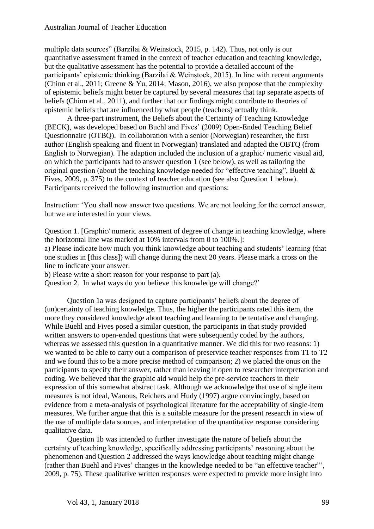multiple data sources" (Barzilai & Weinstock, 2015, p. 142). Thus, not only is our quantitative assessment framed in the context of teacher education and teaching knowledge, but the qualitative assessment has the potential to provide a detailed account of the participants' epistemic thinking (Barzilai & Weinstock, 2015). In line with recent arguments (Chinn et al., 2011; Greene & Yu, 2014; Mason, 2016), we also propose that the complexity of epistemic beliefs might better be captured by several measures that tap separate aspects of beliefs (Chinn et al., 2011), and further that our findings might contribute to theories of epistemic beliefs that are influenced by what people (teachers) actually think.

A three-part instrument, the Beliefs about the Certainty of Teaching Knowledge (BECK), was developed based on Buehl and Fives' (2009) Open-Ended Teaching Belief Questionnaire (OTBQ). In collaboration with a senior (Norwegian) researcher, the first author (English speaking and fluent in Norwegian) translated and adapted the OBTQ (from English to Norwegian). The adaption included the inclusion of a graphic/ numeric visual aid, on which the participants had to answer question 1 (see below), as well as tailoring the original question (about the teaching knowledge needed for "effective teaching", Buehl & Fives, 2009, p. 375) to the context of teacher education (see also Question 1 below). Participants received the following instruction and questions:

Instruction: 'You shall now answer two questions. We are not looking for the correct answer, but we are interested in your views.

Question 1. [Graphic/ numeric assessment of degree of change in teaching knowledge, where the horizontal line was marked at 10% intervals from 0 to 100%.]:

a) Please indicate how much you think knowledge about teaching and students' learning (that one studies in [this class]) will change during the next 20 years. Please mark a cross on the line to indicate your answer.

b) Please write a short reason for your response to part (a).

Question 2. In what ways do you believe this knowledge will change?'

Question 1a was designed to capture participants' beliefs about the degree of (un)certainty of teaching knowledge. Thus, the higher the participants rated this item, the more they considered knowledge about teaching and learning to be tentative and changing. While Buehl and Fives posed a similar question, the participants in that study provided written answers to open-ended questions that were subsequently coded by the authors, whereas we assessed this question in a quantitative manner. We did this for two reasons: 1) we wanted to be able to carry out a comparison of preservice teacher responses from T1 to T2 and we found this to be a more precise method of comparison; 2) we placed the onus on the participants to specify their answer, rather than leaving it open to researcher interpretation and coding. We believed that the graphic aid would help the pre-service teachers in their expression of this somewhat abstract task. Although we acknowledge that use of single item measures is not ideal, Wanous, Reichers and Hudy (1997) argue convincingly, based on evidence from a meta-analysis of psychological literature for the acceptability of single-item measures. We further argue that this is a suitable measure for the present research in view of the use of multiple data sources, and interpretation of the quantitative response considering qualitative data.

Question 1b was intended to further investigate the nature of beliefs about the certainty of teaching knowledge, specifically addressing participants' reasoning about the phenomenon and Question 2 addressed the ways knowledge about teaching might change (rather than Buehl and Fives' changes in the knowledge needed to be "an effective teacher"', 2009, p. 75). These qualitative written responses were expected to provide more insight into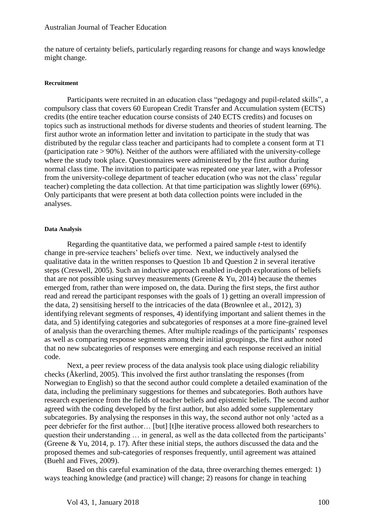the nature of certainty beliefs, particularly regarding reasons for change and ways knowledge might change.

#### **Recruitment**

Participants were recruited in an education class "pedagogy and pupil-related skills", a compulsory class that covers 60 European Credit Transfer and Accumulation system (ECTS) credits (the entire teacher education course consists of 240 ECTS credits) and focuses on topics such as instructional methods for diverse students and theories of student learning. The first author wrote an information letter and invitation to participate in the study that was distributed by the regular class teacher and participants had to complete a consent form at T1 (participation rate > 90%). Neither of the authors were affiliated with the university-college where the study took place. Questionnaires were administered by the first author during normal class time. The invitation to participate was repeated one year later, with a Professor from the university-college department of teacher education (who was not the class' regular teacher) completing the data collection. At that time participation was slightly lower (69%). Only participants that were present at both data collection points were included in the analyses.

#### **Data Analysis**

Regarding the quantitative data, we performed a paired sample *t*-test to identify change in pre-service teachers' beliefs over time. Next, we inductively analysed the qualitative data in the written responses to Question 1b and Question 2 in several iterative steps (Creswell, 2005). Such an inductive approach enabled in-depth explorations of beliefs that are not possible using survey measurements (Greene  $& Yu, 2014$ ) because the themes emerged from, rather than were imposed on, the data. During the first steps, the first author read and reread the participant responses with the goals of 1) getting an overall impression of the data, 2) sensitising herself to the intricacies of the data (Brownlee et al., 2012), 3) identifying relevant segments of responses, 4) identifying important and salient themes in the data, and 5) identifying categories and subcategories of responses at a more fine-grained level of analysis than the overarching themes. After multiple readings of the participants' responses as well as comparing response segments among their initial groupings, the first author noted that no new subcategories of responses were emerging and each response received an initial code.

Next, a peer review process of the data analysis took place using dialogic reliability checks (Åkerlind, 2005). This involved the first author translating the responses (from Norwegian to English) so that the second author could complete a detailed examination of the data, including the preliminary suggestions for themes and subcategories. Both authors have research experience from the fields of teacher beliefs and epistemic beliefs. The second author agreed with the coding developed by the first author, but also added some supplementary subcategories. By analysing the responses in this way, the second author not only 'acted as a peer debriefer for the first author… [but] [t]he iterative process allowed both researchers to question their understanding … in general, as well as the data collected from the participants' (Greene & Yu, 2014, p. 17). After these initial steps, the authors discussed the data and the proposed themes and sub-categories of responses frequently, until agreement was attained (Buehl and Fives, 2009).

Based on this careful examination of the data, three overarching themes emerged: 1) ways teaching knowledge (and practice) will change; 2) reasons for change in teaching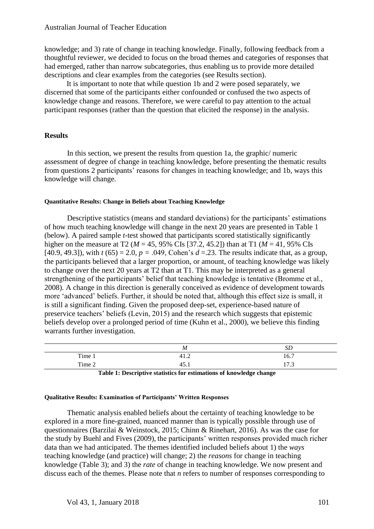knowledge; and 3) rate of change in teaching knowledge. Finally, following feedback from a thoughtful reviewer, we decided to focus on the broad themes and categories of responses that had emerged, rather than narrow subcategories, thus enabling us to provide more detailed descriptions and clear examples from the categories (see Results section).

It is important to note that while question 1b and 2 were posed separately, we discerned that some of the participants either confounded or confused the two aspects of knowledge change and reasons. Therefore, we were careful to pay attention to the actual participant responses (rather than the question that elicited the response) in the analysis.

## **Results**

In this section, we present the results from question 1a, the graphic/ numeric assessment of degree of change in teaching knowledge, before presenting the thematic results from questions 2 participants' reasons for changes in teaching knowledge; and 1b, ways this knowledge will change*.* 

#### **Quantitative Results: Change in Beliefs about Teaching Knowledge**

Descriptive statistics (means and standard deviations) for the participants' estimations of how much teaching knowledge will change in the next 20 years are presented in Table 1 (below). A paired sample *t*-test showed that participants scored statistically significantly higher on the measure at T2 (*M* = 45, 95% CIs [37.2, 45.2]) than at T1 (*M* = 41, 95% CIs [40.9, 49.3]), with  $t (65) = 2.0$ ,  $p = .049$ , Cohen's  $d = .23$ . The results indicate that, as a group, the participants believed that a larger proportion, or amount, of teaching knowledge was likely to change over the next 20 years at T2 than at T1. This may be interpreted as a general strengthening of the participants' belief that teaching knowledge is tentative (Bromme et al., 2008). A change in this direction is generally conceived as evidence of development towards more 'advanced' beliefs. Further, it should be noted that, although this effect size is small, it is still a significant finding. Given the proposed deep-set, experience-based nature of preservice teachers' beliefs (Levin, 2015) and the research which suggests that epistemic beliefs develop over a prolonged period of time (Kuhn et al., 2000), we believe this finding warrants further investigation.

|        | M                                         | SΡ                     |
|--------|-------------------------------------------|------------------------|
| Time 1 | ∸<br>− ⊥.∠                                | 16.7                   |
| Time 2 | $\tilde{\phantom{a}}$<br><b>⊥</b><br>τ. Ω | $1 \pi \gamma$<br>11.J |

**Table 1: Descriptive statistics for estimations of knowledge change**

#### **Qualitative Results: Examination of Participants' Written Responses**

Thematic analysis enabled beliefs about the certainty of teaching knowledge to be explored in a more fine-grained, nuanced manner than is typically possible through use of questionnaires (Barzilai & Weinstock, 2015; Chinn & Rinehart, 2016). As was the case for the study by Buehl and Fives (2009), the participants' written responses provided much richer data than we had anticipated. The themes identified included beliefs about 1) the *ways*  teaching knowledge (and practice) will change; 2) the *reasons* for change in teaching knowledge (Table 3); and 3) the *rate* of change in teaching knowledge. We now present and discuss each of the themes. Please note that *n* refers to number of responses corresponding to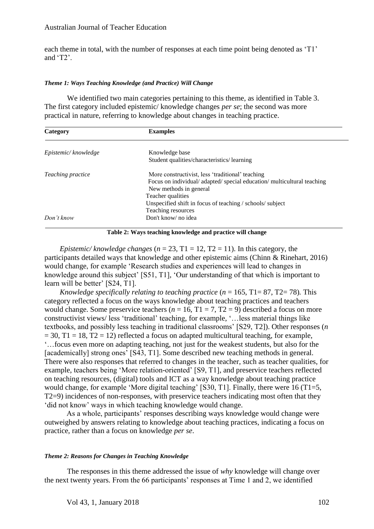#### Australian Journal of Teacher Education

each theme in total, with the number of responses at each time point being denoted as 'T1' and 'T2'.

#### *Theme 1: Ways Teaching Knowledge (and Practice) Will Change*

We identified two main categories pertaining to this theme, as identified in Table 3. The first category included epistemic/ knowledge changes *per se*; the second was more practical in nature, referring to knowledge about changes in teaching practice.

| Category            | <b>Examples</b>                                                      |
|---------------------|----------------------------------------------------------------------|
| Epistemic/knowledge | Knowledge base                                                       |
|                     | Student qualities/characteristics/learning                           |
| Teaching practice   | More constructivist, less 'traditional' teaching                     |
|                     | Focus on individual/adapted/special education/multicultural teaching |
|                     | New methods in general                                               |
|                     | Teacher qualities                                                    |
|                     | Unspecified shift in focus of teaching / schools/ subject            |
|                     | Teaching resources                                                   |
| Don't know          | Don't know/ no idea                                                  |

#### **Table 2: Ways teaching knowledge and practice will change**

*Epistemic/ knowledge changes* ( $n = 23$ , T1 = 12, T2 = 11). In this category, the participants detailed ways that knowledge and other epistemic aims (Chinn & Rinehart, 2016) would change, for example 'Research studies and experiences will lead to changes in knowledge around this subject' [S51, T1], 'Our understanding of that which is important to learn will be better' [S24, T1].

*Knowledge specifically relating to teaching practice*  $(n = 165, T1 = 87, T2 = 78)$ *. This* category reflected a focus on the ways knowledge about teaching practices and teachers would change. Some preservice teachers ( $n = 16$ , T1 = 7, T2 = 9) described a focus on more constructivist views/ less 'traditional' teaching, for example, '…less material things like textbooks, and possibly less teaching in traditional classrooms' [S29, T2]). Other responses (*n*   $= 30$ , T1 = 18, T2 = 12) reflected a focus on adapted multicultural teaching, for example, '…focus even more on adapting teaching, not just for the weakest students, but also for the [academically] strong ones' [S43, T1]. Some described new teaching methods in general. There were also responses that referred to changes in the teacher, such as teacher qualities, for example, teachers being 'More relation-oriented' [S9, T1], and preservice teachers reflected on teaching resources, (digital) tools and ICT as a way knowledge about teaching practice would change, for example 'More digital teaching' [S30, T1]. Finally, there were 16 (T1=5, T2=9) incidences of non-responses, with preservice teachers indicating most often that they 'did not know' ways in which teaching knowledge would change.

As a whole, participants' responses describing ways knowledge would change were outweighed by answers relating to knowledge about teaching practices, indicating a focus on practice, rather than a focus on knowledge *per se*.

#### *Theme 2: Reasons for Changes in Teaching Knowledge*

The responses in this theme addressed the issue of *why* knowledge will change over the next twenty years*.* From the 66 participants' responses at Time 1 and 2, we identified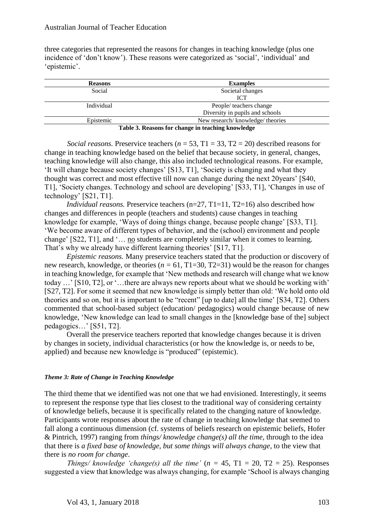three categories that represented the reasons for changes in teaching knowledge (plus one incidence of 'don't know'). These reasons were categorized as 'social', 'individual' and 'epistemic'.

| <b>Reasons</b> | <b>Examples</b>                                   |
|----------------|---------------------------------------------------|
| Social         | Societal changes                                  |
|                | <b>ICT</b>                                        |
| Individual     | People/ teachers change                           |
|                | Diversity in pupils and schools                   |
| Epistemic      | New research/knowledge/theories                   |
|                | Table 3. Reasons for change in teaching knowledge |

*Social reasons.* Preservice teachers ( $n = 53$ , T1 = 33, T2 = 20) described reasons for change in teaching knowledge based on the belief that because society, in general, changes, teaching knowledge will also change, this also included technological reasons. For example, 'It will change because society changes' [S13, T1], 'Society is changing and what they thought was correct and most effective till now can change during the next 20years' [S40, T1], 'Society changes. Technology and school are developing' [S33, T1], 'Changes in use of technology' [S21, T1].

*Individual reasons.* Preservice teachers (n=27, T1=11, T2=16) also described how changes and differences in people (teachers and students) cause changes in teaching knowledge for example, 'Ways of doing things change, because people change' [S33, T1]. 'We become aware of different types of behavior, and the (school) environment and people change' [S22, T1], and '... no students are completely similar when it comes to learning. That's why we already have different learning theories' [S17, T1].

*Epistemic reasons.* Many preservice teachers stated that the production or discovery of new research, knowledge, or theories ( $n = 61$ , T1=30, T2=31) would be the reason for changes in teaching knowledge, for example that 'New methods and research will change what we know today …' [S10, T2], or '…there are always new reports about what we should be working with' [S27, T2]. For some it seemed that new knowledge is simply better than old: 'We hold onto old theories and so on, but it is important to be "recent" [up to date] all the time' [S34, T2]. Others commented that school-based subject (education/ pedagogics) would change because of new knowledge, 'New knowledge can lead to small changes in the [knowledge base of the] subject pedagogics…' [S51, T2].

Overall the preservice teachers reported that knowledge changes because it is driven by changes in society, individual characteristics (or how the knowledge is, or needs to be, applied) and because new knowledge is "produced" (epistemic).

#### *Theme 3: Rate of Change in Teaching Knowledge*

The third theme that we identified was not one that we had envisioned. Interestingly, it seems to represent the response type that lies closest to the traditional way of considering certainty of knowledge beliefs, because it is specifically related to the changing nature of knowledge. Participants wrote responses about the rate of change in teaching knowledge that seemed to fall along a continuous dimension (cf. systems of beliefs research on epistemic beliefs, Hofer & Pintrich, 1997) ranging from *things/ knowledge change(s) all the time,* through to the idea that there is *a fixed base of knowledge, but some things will always change*, to the view that there is *no room for change*.

*Things/ knowledge 'change(s) all the time'*  $(n = 45, T1 = 20, T2 = 25)$ *. Responses* suggested a view that knowledge was always changing, for example 'School is always changing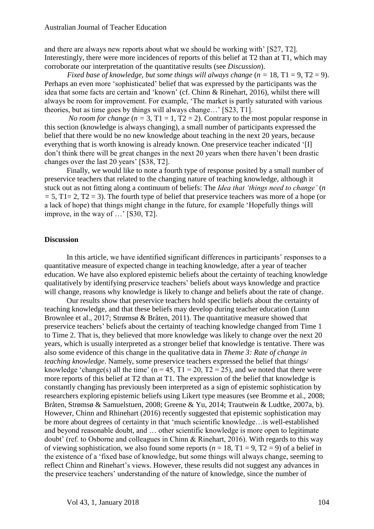and there are always new reports about what we should be working with' [S27, T2]. Interestingly, there were more incidences of reports of this belief at T2 than at T1, which may corroborate our interpretation of the quantitative results (see *Discussion*).

*Fixed base of knowledge, but some things will always change*  $(n = 18, T1 = 9, T2 = 9)$ *.* Perhaps an even more 'sophisticated' belief that was expressed by the participants was the idea that some facts are certain and 'known' (cf. Chinn & Rinehart, 2016), whilst there will always be room for improvement. For example, 'The market is partly saturated with various theories, but as time goes by things will always change…' [S23, T1].

*No room for change*  $(n = 3, T1 = 1, T2 = 2)$ . Contrary to the most popular response in this section (knowledge is always changing), a small number of participants expressed the belief that there would be no new knowledge about teaching in the next 20 years, because everything that is worth knowing is already known. One preservice teacher indicated '[I] don't think there will be great changes in the next 20 years when there haven't been drastic changes over the last 20 years' [S38, T2].

Finally, we would like to note a fourth type of response posited by a small number of preservice teachers that related to the changing nature of teaching knowledge, although it stuck out as not fitting along a continuum of beliefs: The *Idea that 'things need to change'* (*n =* 5, T1= 2, T2 = 3). The fourth type of belief that preservice teachers was more of a hope (or a lack of hope) that things might change in the future, for example 'Hopefully things will improve, in the way of …' [S30, T2].

### **Discussion**

In this article, we have identified significant differences in participants' responses to a quantitative measure of expected change in teaching knowledge, after a year of teacher education. We have also explored epistemic beliefs about the certainty of teaching knowledge qualitatively by identifying preservice teachers' beliefs about ways knowledge and practice will change, reasons why knowledge is likely to change and beliefs about the rate of change.

Our results show that preservice teachers hold specific beliefs about the certainty of teaching knowledge, and that these beliefs may develop during teacher education (Lunn Brownlee et al., 2017; Strømsø & Bråten, 2011). The quantitative measure showed that preservice teachers' beliefs about the certainty of teaching knowledge changed from Time 1 to Time 2. That is, they believed that more knowledge was likely to change over the next 20 years, which is usually interpreted as a stronger belief that knowledge is tentative. There was also some evidence of this change in the qualitative data in *Theme 3: Rate of change in teaching knowledge*. Namely, some preservice teachers expressed the belief that things/ knowledge 'change(s) all the time' ( $n = 45$ ,  $T1 = 20$ ,  $T2 = 25$ ), and we noted that there were more reports of this belief at T2 than at T1. The expression of the belief that knowledge is constantly changing has previously been interpreted as a sign of epistemic sophistication by researchers exploring epistemic beliefs using Likert type measures (see Bromme et al., 2008; Bråten, Strømsø & Samuelstuen, 2008; Greene & Yu, 2014; Trautwein & Ludtke, 2007a, b). However, Chinn and Rhinehart (2016) recently suggested that epistemic sophistication may be more about degrees of certainty in that 'much scientific knowledge…is well-established and beyond reasonable doubt, and … other scientific knowledge is more open to legitimate doubt' (ref. to Osborne and colleagues in Chinn & Rinehart, 2016). With regards to this way of viewing sophistication, we also found some reports ( $n = 18$ , T1 = 9, T2 = 9) of a belief in the existence of a 'fixed base of knowledge, but some things will always change, seeming to reflect Chinn and Rinehart's views. However, these results did not suggest any advances in the preservice teachers' understanding of the nature of knowledge, since the number of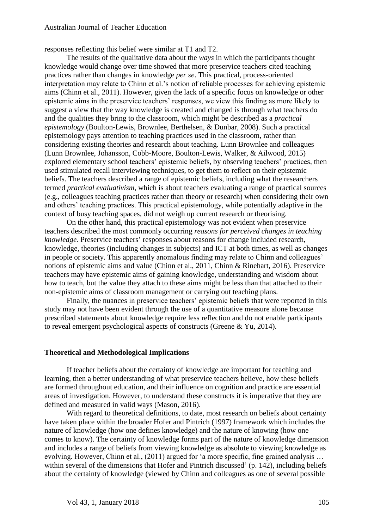responses reflecting this belief were similar at T1 and T2.

The results of the qualitative data about the *ways* in which the participants thought knowledge would change over time showed that more preservice teachers cited teaching practices rather than changes in knowledge *per se*. This practical, process-oriented interpretation may relate to Chinn et al.'s notion of reliable processes for achieving epistemic aims (Chinn et al., 2011). However, given the lack of a specific focus on knowledge or other epistemic aims in the preservice teachers' responses, we view this finding as more likely to suggest a view that the way knowledge is created and changed is through what teachers do and the qualities they bring to the classroom, which might be described as a *practical epistemology* (Boulton-Lewis, Brownlee, Berthelsen, & Dunbar, 2008). Such a practical epistemology pays attention to teaching practices used in the classroom, rather than considering existing theories and research about teaching. Lunn Brownlee and colleagues (Lunn Brownlee, Johansson, Cobb-Moore, Boulton-Lewis, Walker, & Ailwood, 2015) explored elementary school teachers' epistemic beliefs, by observing teachers' practices, then used stimulated recall interviewing techniques, to get them to reflect on their epistemic beliefs. The teachers described a range of epistemic beliefs, including what the researchers termed *practical evaluativism*, which is about teachers evaluating a range of practical sources (e.g., colleagues teaching practices rather than theory or research) when considering their own and others' teaching practices. This practical epistemology, while potentially adaptive in the context of busy teaching spaces, did not weigh up current research or theorising.

On the other hand, this practical epistemology was not evident when preservice teachers described the most commonly occurring *reasons for perceived changes in teaching knowledge.* Preservice teachers' responses about reasons for change included research, knowledge, theories (including changes in subjects) and ICT at both times, as well as changes in people or society. This apparently anomalous finding may relate to Chinn and colleagues' notions of epistemic aims and value (Chinn et al., 2011, Chinn & Rinehart, 2016). Preservice teachers may have epistemic aims of gaining knowledge, understanding and wisdom about how to teach, but the value they attach to these aims might be less than that attached to their non-epistemic aims of classroom management or carrying out teaching plans.

Finally, the nuances in preservice teachers' epistemic beliefs that were reported in this study may not have been evident through the use of a quantitative measure alone because prescribed statements about knowledge require less reflection and do not enable participants to reveal emergent psychological aspects of constructs (Greene & Yu, 2014).

## **Theoretical and Methodological Implications**

If teacher beliefs about the certainty of knowledge are important for teaching and learning, then a better understanding of what preservice teachers believe, how these beliefs are formed throughout education, and their influence on cognition and practice are essential areas of investigation. However, to understand these constructs it is imperative that they are defined and measured in valid ways (Mason, 2016).

With regard to theoretical definitions, to date, most research on beliefs about certainty have taken place within the broader Hofer and Pintrich (1997) framework which includes the nature of knowledge (how one defines knowledge) and the nature of knowing (how one comes to know). The certainty of knowledge forms part of the nature of knowledge dimension and includes a range of beliefs from viewing knowledge as absolute to viewing knowledge as evolving. However, Chinn et al., (2011) argued for 'a more specific, fine grained analysis … within several of the dimensions that Hofer and Pintrich discussed' (p. 142), including beliefs about the certainty of knowledge (viewed by Chinn and colleagues as one of several possible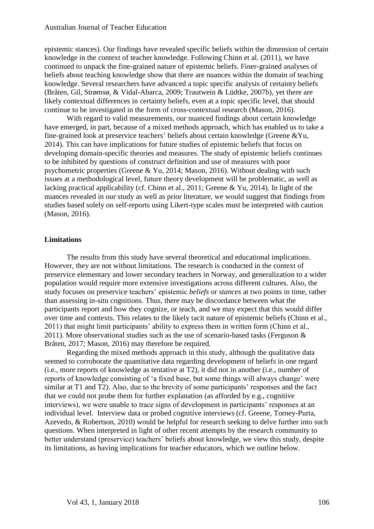epistemic stances). Our findings have revealed specific beliefs within the dimension of certain knowledge in the context of teacher knowledge. Following Chinn et al. (2011), we have continued to unpack the fine-grained nature of epistemic beliefs. Finer-grained analyses of beliefs about teaching knowledge show that there are nuances within the domain of teaching knowledge. Several researchers have advanced a topic specific analysis of certainty beliefs (Bråten, Gil, Strømsø, & Vidal-Abarca, 2009; Trautwein & Lüdtke, 2007b), yet there are likely contextual differences in certainty beliefs, even at a topic specific level, that should continue to be investigated in the form of cross-contextual research (Mason, 2016).

With regard to valid measurements, our nuanced findings about certain knowledge have emerged, in part, because of a mixed methods approach, which has enabled us to take a fine-grained look at preservice teachers' beliefs about certain knowledge (Greene &Yu, 2014). This can have implications for future studies of epistemic beliefs that focus on developing domain-specific theories and measures. The study of epistemic beliefs continues to be inhibited by questions of construct definition and use of measures with poor psychometric properties (Greene & Yu, 2014; Mason, 2016). Without dealing with such issues at a methodological level, future theory development will be problematic, as well as lacking practical applicability (cf. Chinn et al., 2011; Greene & Yu, 2014). In light of the nuances revealed in our study as well as prior literature, we would suggest that findings from studies based solely on self-reports using Likert-type scales must be interpreted with caution (Mason, 2016).

## **Limitations**

The results from this study have several theoretical and educational implications. However, they are not without limitations. The research is conducted in the context of preservice elementary and lower secondary teachers in Norway, and generalization to a wider population would require more extensive investigations across different cultures. Also, the study focuses on preservice teachers' epistemic *beliefs* or *stances* at two points in time, rather than assessing in-situ cognitions. Thus, there may be discordance between what the participants report and how they cognize, or teach, and we may expect that this would differ over time and contexts. This relates to the likely tacit nature of epistemic beliefs (Chinn et al., 2011) that might limit participants' ability to express them in written form (Chinn et al., 2011). More observational studies such as the use of scenario-based tasks (Ferguson & Bråten, 2017; Mason, 2016) may therefore be required.

Regarding the mixed methods approach in this study, although the qualitative data seemed to corroborate the quantitative data regarding development of beliefs in one regard (i.e., more reports of knowledge as tentative at T2), it did not in another (i.e., number of reports of knowledge consisting of 'a fixed base, but some things will always change' were similar at T1 and T2). Also, due to the brevity of some participants' responses and the fact that we could not probe them for further explanation (as afforded by e.g., cognitive interviews), we were unable to trace signs of development in participants' responses at an individual level. Interview data or probed cognitive interviews (cf. Greene, Torney-Purta, Azevedo, & Robertson, 2010) would be helpful for research seeking to delve further into such questions. When interpreted in light of other recent attempts by the research community to better understand (preservice) teachers' beliefs about knowledge, we view this study, despite its limitations, as having implications for teacher educators, which we outline below.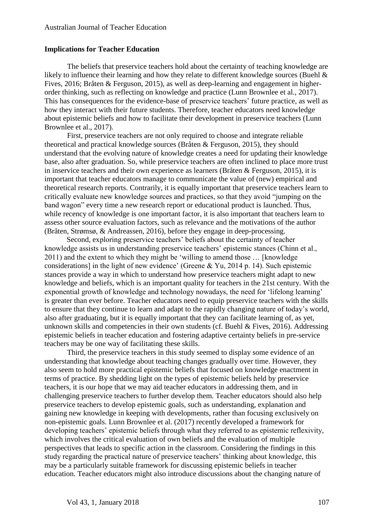#### **Implications for Teacher Education**

The beliefs that preservice teachers hold about the certainty of teaching knowledge are likely to influence their learning and how they relate to different knowledge sources (Buehl & Fives, 2016; Bråten & Ferguson, 2015), as well as deep-learning and engagement in higherorder thinking, such as reflecting on knowledge and practice (Lunn Brownlee et al., 2017). This has consequences for the evidence-base of preservice teachers' future practice, as well as how they interact with their future students. Therefore, teacher educators need knowledge about epistemic beliefs and how to facilitate their development in preservice teachers (Lunn Brownlee et al., 2017).

First, preservice teachers are not only required to choose and integrate reliable theoretical and practical knowledge sources (Bråten & Ferguson, 2015), they should understand that the evolving nature of knowledge creates a need for updating their knowledge base, also after graduation. So, while preservice teachers are often inclined to place more trust in inservice teachers and their own experience as learners (Bråten & Ferguson, 2015), it is important that teacher educators manage to communicate the value of (new) empirical and theoretical research reports. Contrarily, it is equally important that preservice teachers learn to critically evaluate new knowledge sources and practices, so that they avoid "jumping on the band wagon" every time a new research report or educational product is launched. Thus, while recency of knowledge is one important factor, it is also important that teachers learn to assess other source evaluation factors, such as relevance and the motivations of the author (Bråten, Strømsø, & Andreassen, 2016), before they engage in deep-processing.

Second, exploring preservice teachers' beliefs about the certainty of teacher knowledge assists us in understanding preservice teachers' epistemic stances (Chinn et al., 2011) and the extent to which they might be 'willing to amend those … [knowledge considerations] in the light of new evidence' (Greene & Yu, 2014 p. 14). Such epistemic stances provide a way in which to understand how preservice teachers might adapt to new knowledge and beliefs, which is an important quality for teachers in the 21st century. With the exponential growth of knowledge and technology nowadays, the need for 'lifelong learning' is greater than ever before. Teacher educators need to equip preservice teachers with the skills to ensure that they continue to learn and adapt to the rapidly changing nature of today's world, also after graduating, but it is equally important that they can facilitate learning of, as yet, unknown skills and competencies in their own students (cf. Buehl & Fives, 2016). Addressing epistemic beliefs in teacher education and fostering adaptive certainty beliefs in pre-service teachers may be one way of facilitating these skills.

Third, the preservice teachers in this study seemed to display some evidence of an understanding that knowledge about teaching changes gradually over time. However, they also seem to hold more practical epistemic beliefs that focused on knowledge enactment in terms of practice. By shedding light on the types of epistemic beliefs held by preservice teachers, it is our hope that we may aid teacher educators in addressing them, and in challenging preservice teachers to further develop them. Teacher educators should also help preservice teachers to develop epistemic goals, such as understanding, explanation and gaining new knowledge in keeping with developments, rather than focusing exclusively on non-epistemic goals. Lunn Brownlee et al. (2017) recently developed a framework for developing teachers' epistemic beliefs through what they referred to as epistemic reflexivity, which involves the critical evaluation of own beliefs and the evaluation of multiple perspectives that leads to specific action in the classroom. Considering the findings in this study regarding the practical nature of preservice teachers' thinking about knowledge, this may be a particularly suitable framework for discussing epistemic beliefs in teacher education. Teacher educators might also introduce discussions about the changing nature of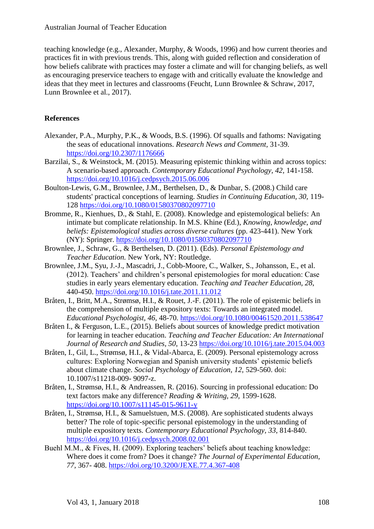teaching knowledge (e.g., Alexander, Murphy, & Woods, 1996) and how current theories and practices fit in with previous trends. This, along with guided reflection and consideration of how beliefs calibrate with practices may foster a climate and will for changing beliefs, as well as encouraging preservice teachers to engage with and critically evaluate the knowledge and ideas that they meet in lectures and classrooms (Feucht, Lunn Brownlee & Schraw, 2017, Lunn Brownlee et al., 2017).

## **References**

- Alexander, P.A., Murphy, P.K., & Woods, B.S. (1996). Of squalls and fathoms: Navigating the seas of educational innovations. *Research News and Comment,* 31-39. <https://doi.org/10.2307/1176666>
- Barzilai, S., & Weinstock, M. (2015). Measuring epistemic thinking within and across topics: A scenario-based approach. *Contemporary Educational Psychology, 42,* 141-158. <https://doi.org/10.1016/j.cedpsych.2015.06.006>
- Boulton-Lewis, G.M., Brownlee, J.M., Berthelsen, D., & Dunbar, S. (2008.) Child care students' practical conceptions of learning. *Studies in Continuing Education, 30,* 119- 128 <https://doi.org/10.1080/01580370802097710>
- Bromme, R., Kienhues, D., & Stahl, E. (2008). Knowledge and epistemological beliefs: An intimate but complicate relationship. In M.S. Khine (Ed.), *Knowing, knowledge, and beliefs: Epistemological studies across diverse cultures* (pp. 423-441). New York (NY): Springer. <https://doi.org/10.1080/01580370802097710>
- Brownlee, J., Schraw, G., & Berthelsen, D. (2011). (Eds). *Personal Epistemology and Teacher Education.* New York, NY: Routledge.
- Brownlee, J.M., Syu, J.-J., Mascadri, J., Cobb-Moore, C., Walker, S., Johansson, E., et al. (2012). Teachers' and children's personal epistemologies for moral education: Case studies in early years elementary education. *Teaching and Teacher Education, 28*, 440-450.<https://doi.org/10.1016/j.tate.2011.11.012>
- Bråten, I., Britt, M.A., Strømsø, H.I., & Rouet, J.-F. (2011). The role of epistemic beliefs in the comprehension of multiple expository texts: Towards an integrated model. *Educational Psychologist, 46,* 48-70.<https://doi.org/10.1080/00461520.2011.538647>
- Bråten I., & Ferguson, L.E., (2015). Beliefs about sources of knowledge predict motivation for learning in teacher education. *Teaching and Teacher Education: An International Journal of Research and Studies, 50*, 13-23 <https://doi.org/10.1016/j.tate.2015.04.003>
- Bråten, I., Gil, L., Strømsø, H.I., & Vidal-Abarca, E. (2009). Personal epistemology across cultures: Exploring Norwegian and Spanish university students' epistemic beliefs about climate change. *Social Psychology of Education, 12,* 529-560. doi: 10.1007/s11218-009- 9097-z.
- Bråten, I., Strømsø, H.I., & Andreassen, R. (2016). Sourcing in professional education: Do text factors make any difference? *Reading & Writing, 29,* 1599-1628. <https://doi.org/10.1007/s11145-015-9611-y>
- Bråten, I., Strømsø, H.I., & Samuelstuen, M.S. (2008). Are sophisticated students always better? The role of topic-specific personal epistemology in the understanding of multiple expository texts. *Contemporary Educational Psychology, 33*, 814-840. <https://doi.org/10.1016/j.cedpsych.2008.02.001>
- Buehl M.M., & Fives, H. (2009). Exploring teachers' beliefs about teaching knowledge: Where does it come from? Does it change? *The Journal of Experimental Education, 77,* 367- 408.<https://doi.org/10.3200/JEXE.77.4.367-408>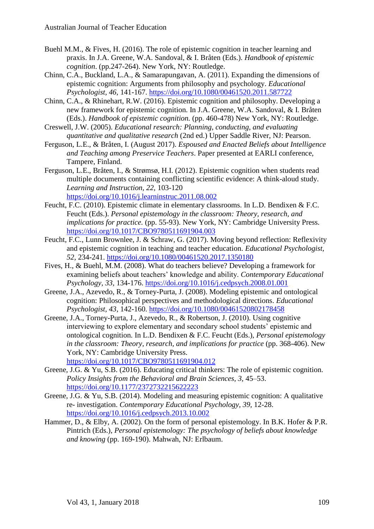- Buehl M.M., & Fives, H. (2016). The role of epistemic cognition in teacher learning and praxis. In J.A. Greene, W.A. Sandoval, & I. Bråten (Eds.). *Handbook of epistemic cognition*. (pp.247-264). New York, NY: Routledge.
- Chinn, C.A., Buckland, L.A., & Samarapungavan, A. (2011). Expanding the dimensions of epistemic cognition: Arguments from philosophy and psychology. *Educational Psychologist, 46,* 141-167.<https://doi.org/10.1080/00461520.2011.587722>
- Chinn, C.A., & Rhinehart, R.W. (2016). Epistemic cognition and philosophy. Developing a new framework for epistemic cognition. In J.A. Greene, W.A. Sandoval, & I. Bråten (Eds.). *Handbook of epistemic cognition.* (pp. 460-478) New York, NY: Routledge.
- Creswell, J.W. (2005). *Educational research: Planning, conducting, and evaluating quantitative and qualitative research* (2nd ed.) Upper Saddle River, NJ: Pearson.
- Ferguson, L.E., & Bråten, I. (August 2017). *Espoused and Enacted Beliefs about Intelligence and Teaching among Preservice Teachers*. Paper presented at EARLI conference, Tampere, Finland.
- Ferguson, L.E., Bråten, I., & Strømsø, H.I. (2012). Epistemic cognition when students read multiple documents containing conflicting scientific evidence: A think-aloud study. *Learning and Instruction, 22,* 103-120 <https://doi.org/10.1016/j.learninstruc.2011.08.002>
- Feucht, F.C. (2010). Epistemic climate in elementary classrooms. In L.D. Bendixen & F.C. Feucht (Eds.). *Personal epistemology in the classroom: Theory, research, and implications for practice.* (pp. 55-93). New York, NY: Cambridge University Press. <https://doi.org/10.1017/CBO9780511691904.003>
- Feucht, F.C., Lunn Brownlee, J. & Schraw, G. (2017). Moving beyond reflection: Reflexivity and epistemic cognition in teaching and teacher education. *Educational Psychologist, 52,* 234-241.<https://doi.org/10.1080/00461520.2017.1350180>
- Fives, H., & Buehl, M.M. (2008). What do teachers believe? Developing a framework for examining beliefs about teachers' knowledge and ability. *Contemporary Educational Psychology, 33,* 134-176.<https://doi.org/10.1016/j.cedpsych.2008.01.001>
- Greene, J.A., Azevedo, R., & Torney-Purta, J. (2008). Modeling epistemic and ontological cognition: Philosophical perspectives and methodological directions. *Educational Psychologist, 43*, 142-160.<https://doi.org/10.1080/00461520802178458>
- Greene, J.A., Torney-Purta, J., Azevedo, R., & Robertson, J. (2010). Using cognitive interviewing to explore elementary and secondary school students' epistemic and ontological cognition. In L.D. Bendixen & F.C. Feucht (Eds.), *Personal epistemology in the classroom: Theory, research, and implications for practice (pp. 368-406).* New York, NY: Cambridge University Press. <https://doi.org/10.1017/CBO9780511691904.012>
- Greene, J.G. & Yu, S.B. (2016). Educating critical thinkers: The role of epistemic cognition. *Policy Insights from the Behavioral and Brain Sciences, 3,* 45–53. <https://doi.org/10.1177/2372732215622223>
- Greene, J.G. & Yu, S.B. (2014). Modeling and measuring epistemic cognition: A qualitative re- investigation. *Contemporary Educational Psychology, 39,* 12-28. <https://doi.org/10.1016/j.cedpsych.2013.10.002>
- Hammer, D., & Elby, A. (2002). On the form of personal epistemology. In B.K. Hofer & P.R. Pintrich (Eds.), *Personal epistemology: The psychology of beliefs about knowledge and knowing* (pp. 169-190). Mahwah, NJ: Erlbaum.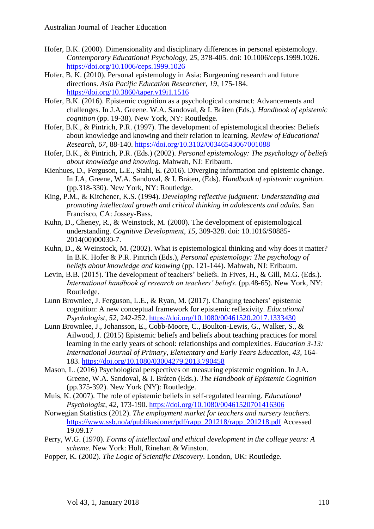- Hofer, B.K. (2000). Dimensionality and disciplinary differences in personal epistemology. *Contemporary Educational Psychology, 25,* 378-405. doi: 10.1006/ceps.1999.1026. <https://doi.org/10.1006/ceps.1999.1026>
- Hofer, B. K. (2010). Personal epistemology in Asia: Burgeoning research and future directions. *Asia Pacific Education Researcher, 19*, 175-184. <https://doi.org/10.3860/taper.v19i1.1516>
- Hofer, B.K. (2016). Epistemic cognition as a psychological construct: Advancements and challenges. In J.A. Greene. W.A. Sandoval, & I. Bråten (Eds.). *Handbook of epistemic cognition* (pp. 19-38). New York, NY: Routledge.
- Hofer, B.K., & Pintrich, P.R. (1997). The development of epistemological theories: Beliefs about knowledge and knowing and their relation to learning. *Review of Educational Research, 67*, 88-140. <https://doi.org/10.3102/00346543067001088>
- Hofer, B.K., & Pintrich, P.R. (Eds.) (2002). *Personal epistemology: The psychology of beliefs about knowledge and knowing.* Mahwah, NJ: Erlbaum.
- Kienhues, D., Ferguson, L.E., Stahl, E. (2016). Diverging information and epistemic change. In J.A, Greene, W.A. Sandoval, & I. Bråten, (Eds). *Handbook of epistemic cognition.* (pp.318-330). New York, NY: Routledge.
- King, P.M., & Kitchener, K.S. (1994). *Developing reflective judgment: Understanding and promoting intellectual growth and critical thinking in adolescents and adults.* San Francisco, CA: Jossey-Bass.
- Kuhn, D., Cheney, R., & Weinstock, M. (2000). The development of epistemological understanding. *Cognitive Development, 15,* 309-328. doi: 10.1016/S0885- 2014(00)00030-7.
- Kuhn, D., & Weinstock, M. (2002). What is epistemological thinking and why does it matter? In B.K. Hofer & P.R. Pintrich (Eds.), *Personal epistemology: The psychology of beliefs about knowledge and knowing* (pp. 121-144). Mahwah, NJ: Erlbaum.
- Levin, B.B. (2015). The development of teachers' beliefs. In Fives, H., & Gill, M.G. (Eds.). *International handbook of research on teachers' beliefs*. (pp.48-65). New York, NY: Routledge.
- Lunn Brownlee, J. Ferguson, L.E., & Ryan, M. (2017). Changing teachers' epistemic cognition: A new conceptual framework for epistemic reflexivity. *Educational Psychologist, 52,* 242-252.<https://doi.org/10.1080/00461520.2017.1333430>
- Lunn Brownlee, J., Johansson, E., Cobb-Moore, C., Boulton-Lewis, G., Walker, S., & Ailwood, J. (2015) Epistemic beliefs and beliefs about teaching practices for moral learning in the early years of school: relationships and complexities. *Education 3-13: International Journal of Primary, Elementary and Early Years Education, 43*, 164- 183. <https://doi.org/10.1080/03004279.2013.790458>
- Mason, L. (2016) Psychological perspectives on measuring epistemic cognition. In J.A. Greene, W.A. Sandoval, & I. Bråten (Eds.). *The Handbook of Epistemic Cognition* (pp.375-392). New York (NY): Routledge.
- Muis, K. (2007). The role of epistemic beliefs in self-regulated learning. *Educational Psychologist, 42,* 173-190.<https://doi.org/10.1080/00461520701416306>
- Norwegian Statistics (2012). *The employment market for teachers and nursery teachers*. [https://www.ssb.no/a/publikasjoner/pdf/rapp\\_201218/rapp\\_201218.pdf](https://www.ssb.no/a/publikasjoner/pdf/rapp_201218/rapp_201218.pdf) Accessed 19.09.17
- Perry, W.G. (1970). *Forms of intellectual and ethical development in the college years: A scheme*. New York: Holt, Rinehart & Winston.
- Popper, K. (2002). *The Logic of Scientific Discovery*. London, UK: Routledge.